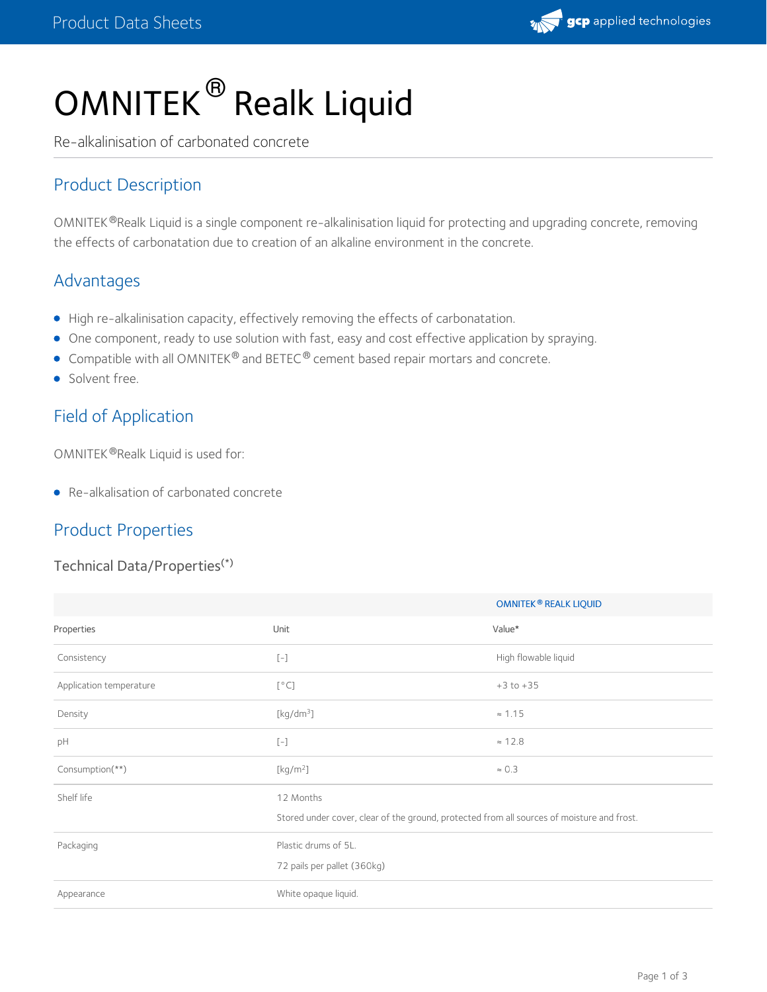# OMNITEK® Realk Liquid

Re-alkalinisation of carbonated concrete

## Product Description

OMNITEK®Realk Liquid is a single component re-alkalinisation liquid for protecting and upgrading concrete, removing the effects of carbonatation due to creation of an alkaline environment in the concrete.

## Advantages

- High re-alkalinisation capacity, effectively removing the effects of carbonatation.
- One component, ready to use solution with fast, easy and cost effective application by spraying.
- **Compatible with all OMNITEK®** and BETEC® cement based repair mortars and concrete.
- **Solvent free.**

## Field of Application

OMNITEK ®Realk Liquid is used for:

Re-alkalisation of carbonated concrete

## Product Properties

#### Technical Data/Properties (\*)

|                         |                                                                                                                                                                                                                                                                                                                                                                                                         | OMNITEK <sup>®</sup> REALK LIQUID |
|-------------------------|---------------------------------------------------------------------------------------------------------------------------------------------------------------------------------------------------------------------------------------------------------------------------------------------------------------------------------------------------------------------------------------------------------|-----------------------------------|
| Properties              | Unit                                                                                                                                                                                                                                                                                                                                                                                                    | Value*                            |
| Consistency             | $\left[ -\right] % \begin{minipage}[b]{.45\linewidth} \centering \includegraphics[width=\textwidth]{figs/fig_4b-1} \caption{The number of times in the left and right.} \label{fig:2b-1} \end{minipage} \vspace{0.05\linewidth} \vspace{0.05\linewidth} \vspace{0.05\linewidth} \vspace{0.05\linewidth} \vspace{0.05\linewidth} \caption{The number of times in the right and right.} \label{fig:2b-1}$ | High flowable liquid              |
| Application temperature | [°C]                                                                                                                                                                                                                                                                                                                                                                                                    | $+3$ to $+35$                     |
| Density                 | [kg/dm <sup>3</sup> ]                                                                                                                                                                                                                                                                                                                                                                                   | $\approx 1.15$                    |
| pH                      | $\left[ -\right] % \begin{minipage}[b]{.45\linewidth} \centering \includegraphics[width=\textwidth]{figs/fig_4b-1} \caption{The number of times in the left and right.} \label{fig:2b-1} \end{minipage} \vspace{0.05\linewidth} \vspace{0.05\linewidth} \vspace{0.05\linewidth} \vspace{0.05\linewidth} \vspace{0.05\linewidth} \caption{The number of times in the right and right.} \label{fig:2b-1}$ | $\approx$ 12.8                    |
| Consumption(**)         | [kg/m <sup>2</sup> ]                                                                                                                                                                                                                                                                                                                                                                                    | $\approx 0.3$                     |
| Shelf life              | 12 Months                                                                                                                                                                                                                                                                                                                                                                                               |                                   |
|                         | Stored under cover, clear of the ground, protected from all sources of moisture and frost.                                                                                                                                                                                                                                                                                                              |                                   |
| Packaging               | Plastic drums of 5L.                                                                                                                                                                                                                                                                                                                                                                                    |                                   |
|                         | 72 pails per pallet (360kg)                                                                                                                                                                                                                                                                                                                                                                             |                                   |
| Appearance              | White opaque liquid.                                                                                                                                                                                                                                                                                                                                                                                    |                                   |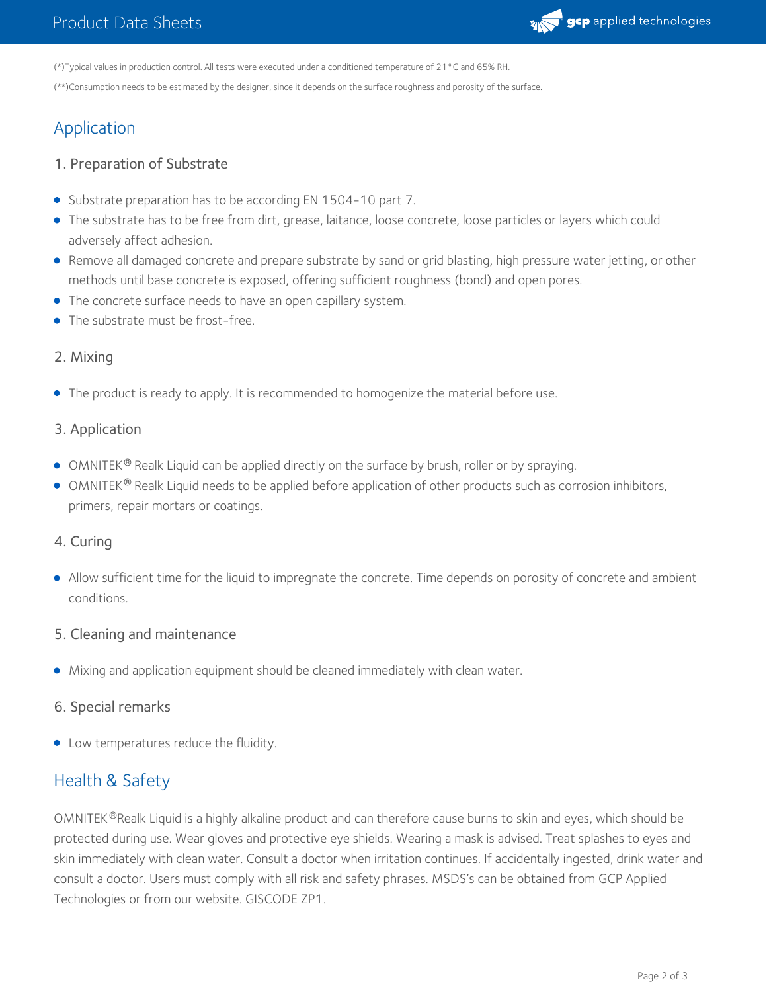

(\*)Typical values in production control. All tests were executed under a conditioned temperature of 21°C and 65% RH.

(\*\*)Consumption needs to be estimated by the designer, since it depends on the surface roughness and porosity of the surface.

# Application

#### 1. Preparation of Substrate

- Substrate preparation has to be according EN 1504-10 part 7.
- The substrate has to be free from dirt, grease, laitance, loose concrete, loose particles or layers which could adversely affect adhesion.
- Remove all damaged concrete and prepare substrate by sand or grid blasting, high pressure water jetting, or other methods until base concrete is exposed, offering sufficient roughness (bond) and open pores.
- The concrete surface needs to have an open capillary system.
- The substrate must be frost-free.

#### 2. Mixing

• The product is ready to apply. It is recommended to homogenize the material before use.

#### 3. Application

- OMNITEK® Realk Liquid can be applied directly on the surface by brush, roller or by spraying.
- OMNITEK  $^\circ$  Realk Liquid needs to be applied before application of other products such as corrosion inhibitors, primers, repair mortars or coatings.

#### 4. Curing

Allow sufficient time for the liquid to impregnate the concrete. Time depends on porosity of concrete and ambient conditions.

#### 5. Cleaning and maintenance

Mixing and application equipment should be cleaned immediately with clean water.

#### 6. Special remarks

Low temperatures reduce the fluidity.

# Health & Safety

OMNITEK®Realk Liquid is a highly alkaline product and can therefore cause burns to skin and eyes, which should be protected during use. Wear gloves and protective eye shields. Wearing a mask is advised. Treat splashes to eyes and skin immediately with clean water. Consult a doctor when irritation continues. If accidentally ingested, drink water and consult a doctor. Users must comply with all risk and safety phrases. MSDS's can be obtained from GCP Applied Technologies or from our website. GISCODE ZP1.